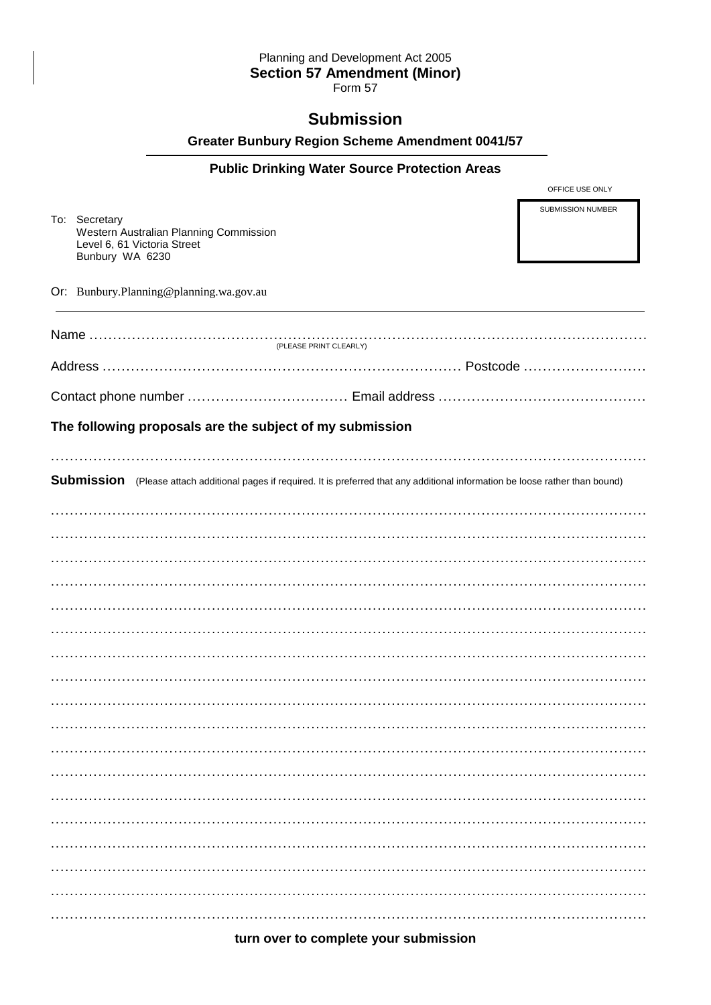## Planning and Development Act 2005 **Section 57 Amendment (Minor)**

Form 57

# **Submission**

## **Greater Bunbury Region Scheme Amendment 0041/57**

## **Public Drinking Water Source Protection Areas**

To: Secretary Western Australian Planning Commission Level 6, 61 Victoria Street Bunbury WA 6230

OFFICE USE ONLY

SUBMISSION NUMBER

Or: Bunbury.Planning@planning.wa.gov.au

| (PLEASE PRINT CLEARLY)                                   |                                                                                                                                            |
|----------------------------------------------------------|--------------------------------------------------------------------------------------------------------------------------------------------|
|                                                          |                                                                                                                                            |
|                                                          |                                                                                                                                            |
| The following proposals are the subject of my submission |                                                                                                                                            |
|                                                          |                                                                                                                                            |
|                                                          | <b>Submission</b> (Please attach additional pages if required. It is preferred that any additional information be loose rather than bound) |
|                                                          |                                                                                                                                            |
|                                                          |                                                                                                                                            |
|                                                          |                                                                                                                                            |
|                                                          |                                                                                                                                            |
|                                                          |                                                                                                                                            |
|                                                          |                                                                                                                                            |
|                                                          |                                                                                                                                            |
|                                                          |                                                                                                                                            |
|                                                          |                                                                                                                                            |
|                                                          |                                                                                                                                            |
|                                                          |                                                                                                                                            |
|                                                          |                                                                                                                                            |
|                                                          |                                                                                                                                            |
|                                                          |                                                                                                                                            |
|                                                          |                                                                                                                                            |
|                                                          |                                                                                                                                            |
|                                                          |                                                                                                                                            |
|                                                          |                                                                                                                                            |